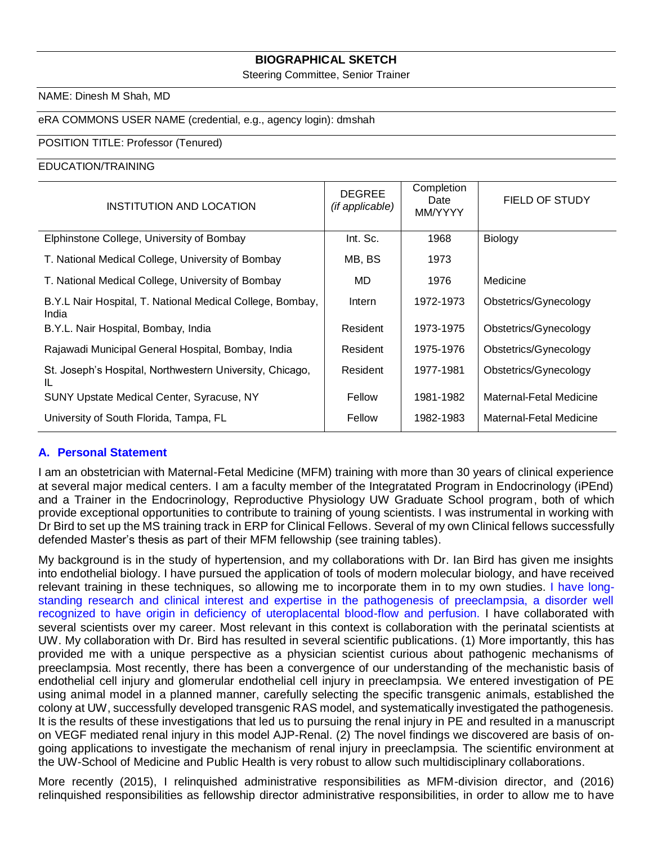## **BIOGRAPHICAL SKETCH**

Steering Committee, Senior Trainer

#### NAME: Dinesh M Shah, MD

## eRA COMMONS USER NAME (credential, e.g., agency login): dmshah

#### POSITION TITLE: Professor (Tenured)

#### EDUCATION/TRAINING

| INSTITUTION AND LOCATION                                           | <b>DEGREE</b><br>(if applicable) | Completion<br>Date<br>MM/YYYY | <b>FIELD OF STUDY</b>   |
|--------------------------------------------------------------------|----------------------------------|-------------------------------|-------------------------|
| Elphinstone College, University of Bombay                          | Int. Sc.                         | 1968                          | <b>Biology</b>          |
| T. National Medical College, University of Bombay                  | MB, BS                           | 1973                          |                         |
| T. National Medical College, University of Bombay                  | MD                               | 1976                          | Medicine                |
| B.Y.L Nair Hospital, T. National Medical College, Bombay,<br>India | Intern                           | 1972-1973                     | Obstetrics/Gynecology   |
| B.Y.L. Nair Hospital, Bombay, India                                | Resident                         | 1973-1975                     | Obstetrics/Gynecology   |
| Rajawadi Municipal General Hospital, Bombay, India                 | Resident                         | 1975-1976                     | Obstetrics/Gynecology   |
| St. Joseph's Hospital, Northwestern University, Chicago,<br>IL.    | Resident                         | 1977-1981                     | Obstetrics/Gynecology   |
| <b>SUNY Upstate Medical Center, Syracuse, NY</b>                   | Fellow                           | 1981-1982                     | Maternal-Fetal Medicine |
| University of South Florida, Tampa, FL                             | Fellow                           | 1982-1983                     | Maternal-Fetal Medicine |

#### **A. Personal Statement**

I am an obstetrician with Maternal-Fetal Medicine (MFM) training with more than 30 years of clinical experience at several major medical centers. I am a faculty member of the Integratated Program in Endocrinology (iPEnd) and a Trainer in the Endocrinology, Reproductive Physiology UW Graduate School program, both of which provide exceptional opportunities to contribute to training of young scientists. I was instrumental in working with Dr Bird to set up the MS training track in ERP for Clinical Fellows. Several of my own Clinical fellows successfully defended Master's thesis as part of their MFM fellowship (see training tables).

My background is in the study of hypertension, and my collaborations with Dr. Ian Bird has given me insights into endothelial biology. I have pursued the application of tools of modern molecular biology, and have received relevant training in these techniques, so allowing me to incorporate them in to my own studies. I have longstanding research and clinical interest and expertise in the pathogenesis of preeclampsia, a disorder well recognized to have origin in deficiency of uteroplacental blood-flow and perfusion. I have collaborated with several scientists over my career. Most relevant in this context is collaboration with the perinatal scientists at UW. My collaboration with Dr. Bird has resulted in several scientific publications. (1) More importantly, this has provided me with a unique perspective as a physician scientist curious about pathogenic mechanisms of preeclampsia. Most recently, there has been a convergence of our understanding of the mechanistic basis of endothelial cell injury and glomerular endothelial cell injury in preeclampsia. We entered investigation of PE using animal model in a planned manner, carefully selecting the specific transgenic animals, established the colony at UW, successfully developed transgenic RAS model, and systematically investigated the pathogenesis. It is the results of these investigations that led us to pursuing the renal injury in PE and resulted in a manuscript on VEGF mediated renal injury in this model AJP-Renal. (2) The novel findings we discovered are basis of ongoing applications to investigate the mechanism of renal injury in preeclampsia. The scientific environment at the UW-School of Medicine and Public Health is very robust to allow such multidisciplinary collaborations.

More recently (2015), I relinquished administrative responsibilities as MFM-division director, and (2016) relinquished responsibilities as fellowship director administrative responsibilities, in order to allow me to have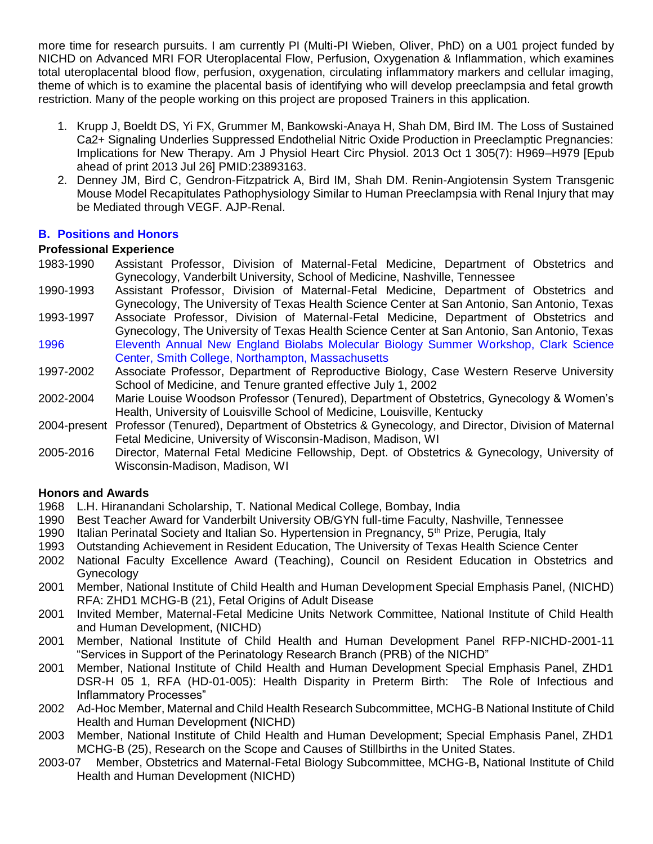more time for research pursuits. I am currently PI (Multi-PI Wieben, Oliver, PhD) on a U01 project funded by NICHD on Advanced MRI FOR Uteroplacental Flow, Perfusion, Oxygenation & Inflammation, which examines total uteroplacental blood flow, perfusion, oxygenation, circulating inflammatory markers and cellular imaging, theme of which is to examine the placental basis of identifying who will develop preeclampsia and fetal growth restriction. Many of the people working on this project are proposed Trainers in this application.

- 1. Krupp J, Boeldt DS, Yi FX, Grummer M, Bankowski-Anaya H, Shah DM, Bird IM. The Loss of Sustained Ca2+ Signaling Underlies Suppressed Endothelial Nitric Oxide Production in Preeclamptic Pregnancies: Implications for New Therapy. Am J Physiol Heart Circ Physiol. 2013 Oct 1 305(7): H969–H979 [Epub ahead of print 2013 Jul 26] PMID:23893163.
- 2. Denney JM, Bird C, Gendron-Fitzpatrick A, Bird IM, Shah DM. Renin-Angiotensin System Transgenic Mouse Model Recapitulates Pathophysiology Similar to Human Preeclampsia with Renal Injury that may be Mediated through VEGF. AJP-Renal.

# **B. Positions and Honors**

# **Professional Experience**

- 1983-1990 Assistant Professor, Division of Maternal-Fetal Medicine, Department of Obstetrics and Gynecology, Vanderbilt University, School of Medicine, Nashville, Tennessee
- 1990-1993 Assistant Professor, Division of Maternal-Fetal Medicine, Department of Obstetrics and Gynecology, The University of Texas Health Science Center at San Antonio, San Antonio, Texas
- 1993-1997 Associate Professor, Division of Maternal-Fetal Medicine, Department of Obstetrics and Gynecology, The University of Texas Health Science Center at San Antonio, San Antonio, Texas 1996 Eleventh Annual New England Biolabs Molecular Biology Summer Workshop, Clark Science Center, Smith College, Northampton, Massachusetts
- 1997-2002 Associate Professor, Department of Reproductive Biology, Case Western Reserve University School of Medicine, and Tenure granted effective July 1, 2002
- 2002-2004 Marie Louise Woodson Professor (Tenured), Department of Obstetrics, Gynecology & Women's Health, University of Louisville School of Medicine, Louisville, Kentucky
- 2004-present Professor (Tenured), Department of Obstetrics & Gynecology, and Director, Division of Maternal Fetal Medicine, University of Wisconsin-Madison, Madison, WI
- 2005-2016 Director, Maternal Fetal Medicine Fellowship, Dept. of Obstetrics & Gynecology, University of Wisconsin-Madison, Madison, WI

# **Honors and Awards**

- 1968 L.H. Hiranandani Scholarship, T. National Medical College, Bombay, India
- 1990 Best Teacher Award for Vanderbilt University OB/GYN full-time Faculty, Nashville, Tennessee
- 1990 Italian Perinatal Society and Italian So. Hypertension in Pregnancy, 5<sup>th</sup> Prize, Perugia, Italy
- 1993 Outstanding Achievement in Resident Education, The University of Texas Health Science Center
- 2002 National Faculty Excellence Award (Teaching), Council on Resident Education in Obstetrics and **Gynecology**
- 2001 Member, National Institute of Child Health and Human Development Special Emphasis Panel, (NICHD) RFA: ZHD1 MCHG-B (21), Fetal Origins of Adult Disease
- 2001 Invited Member, Maternal-Fetal Medicine Units Network Committee, National Institute of Child Health and Human Development, (NICHD)
- 2001 Member, National Institute of Child Health and Human Development Panel RFP-NICHD-2001-11 "Services in Support of the Perinatology Research Branch (PRB) of the NICHD"
- 2001 Member, National Institute of Child Health and Human Development Special Emphasis Panel, ZHD1 DSR-H 05 1, RFA (HD-01-005): Health Disparity in Preterm Birth: The Role of Infectious and Inflammatory Processes"
- 2002 Ad-Hoc Member, Maternal and Child Health Research Subcommittee, MCHG-B National Institute of Child Health and Human Development **(**NICHD)
- 2003 Member, National Institute of Child Health and Human Development; Special Emphasis Panel, ZHD1 MCHG-B (25), Research on the Scope and Causes of Stillbirths in the United States.
- 2003-07 Member, Obstetrics and Maternal-Fetal Biology Subcommittee, MCHG-B**,** National Institute of Child Health and Human Development (NICHD)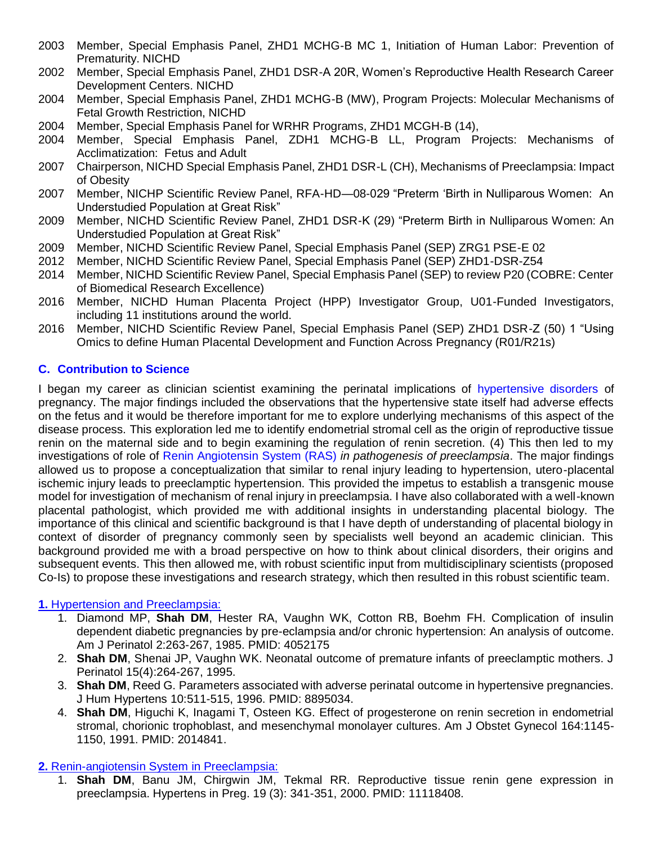- 2003 Member, Special Emphasis Panel, ZHD1 MCHG-B MC 1, Initiation of Human Labor: Prevention of Prematurity. NICHD
- 2002 Member, Special Emphasis Panel, ZHD1 DSR-A 20R, Women's Reproductive Health Research Career Development Centers. NICHD
- 2004 Member, Special Emphasis Panel, ZHD1 MCHG-B (MW), Program Projects: Molecular Mechanisms of Fetal Growth Restriction, NICHD
- 2004 Member, Special Emphasis Panel for WRHR Programs, ZHD1 MCGH-B (14),
- 2004 Member, Special Emphasis Panel, ZDH1 MCHG-B LL, Program Projects: Mechanisms of Acclimatization: Fetus and Adult
- 2007 Chairperson, NICHD Special Emphasis Panel, ZHD1 DSR-L (CH), Mechanisms of Preeclampsia: Impact of Obesity
- 2007 Member, NICHP Scientific Review Panel, RFA-HD—08-029 "Preterm 'Birth in Nulliparous Women: An Understudied Population at Great Risk"
- 2009 Member, NICHD Scientific Review Panel, ZHD1 DSR-K (29) "Preterm Birth in Nulliparous Women: An Understudied Population at Great Risk"
- 2009 Member, NICHD Scientific Review Panel, Special Emphasis Panel (SEP) ZRG1 PSE-E 02
- 2012 Member, NICHD Scientific Review Panel, Special Emphasis Panel (SEP) ZHD1-DSR-Z54
- 2014 Member, NICHD Scientific Review Panel, Special Emphasis Panel (SEP) to review P20 (COBRE: Center of Biomedical Research Excellence)
- 2016 Member, NICHD Human Placenta Project (HPP) Investigator Group, U01-Funded Investigators, including 11 institutions around the world.
- 2016 Member, NICHD Scientific Review Panel, Special Emphasis Panel (SEP) ZHD1 DSR-Z (50) 1 "Using Omics to define Human Placental Development and Function Across Pregnancy (R01/R21s)

# **C. Contribution to Science**

I began my career as clinician scientist examining the perinatal implications of hypertensive disorders of pregnancy. The major findings included the observations that the hypertensive state itself had adverse effects on the fetus and it would be therefore important for me to explore underlying mechanisms of this aspect of the disease process. This exploration led me to identify endometrial stromal cell as the origin of reproductive tissue renin on the maternal side and to begin examining the regulation of renin secretion. (4) This then led to my investigations of role of Renin Angiotensin System (RAS) *in pathogenesis of preeclampsia*. The major findings allowed us to propose a conceptualization that similar to renal injury leading to hypertension, utero-placental ischemic injury leads to preeclamptic hypertension. This provided the impetus to establish a transgenic mouse model for investigation of mechanism of renal injury in preeclampsia. I have also collaborated with a well-known placental pathologist, which provided me with additional insights in understanding placental biology. The importance of this clinical and scientific background is that I have depth of understanding of placental biology in context of disorder of pregnancy commonly seen by specialists well beyond an academic clinician. This background provided me with a broad perspective on how to think about clinical disorders, their origins and subsequent events. This then allowed me, with robust scientific input from multidisciplinary scientists (proposed Co-Is) to propose these investigations and research strategy, which then resulted in this robust scientific team.

# **1.** Hypertension and Preeclampsia:

- 1. Diamond MP, **Shah DM**, Hester RA, Vaughn WK, Cotton RB, Boehm FH. Complication of insulin dependent diabetic pregnancies by pre-eclampsia and/or chronic hypertension: An analysis of outcome. Am J Perinatol 2:263-267, 1985. PMID: 4052175
- 2. **Shah DM**, Shenai JP, Vaughn WK. Neonatal outcome of premature infants of preeclamptic mothers. J Perinatol 15(4):264-267, 1995.
- 3. **Shah DM**, Reed G. Parameters associated with adverse perinatal outcome in hypertensive pregnancies. J Hum Hypertens 10:511-515, 1996. PMID: 8895034.
- 4. **Shah DM**, Higuchi K, Inagami T, Osteen KG. Effect of progesterone on renin secretion in endometrial stromal, chorionic trophoblast, and mesenchymal monolayer cultures. Am J Obstet Gynecol 164:1145- 1150, 1991. PMID: 2014841.

# **2.** Renin-angiotensin System in Preeclampsia:

1. **Shah DM**, Banu JM, Chirgwin JM, Tekmal RR. Reproductive tissue renin gene expression in preeclampsia. Hypertens in Preg. 19 (3): 341-351, 2000. PMID: 11118408.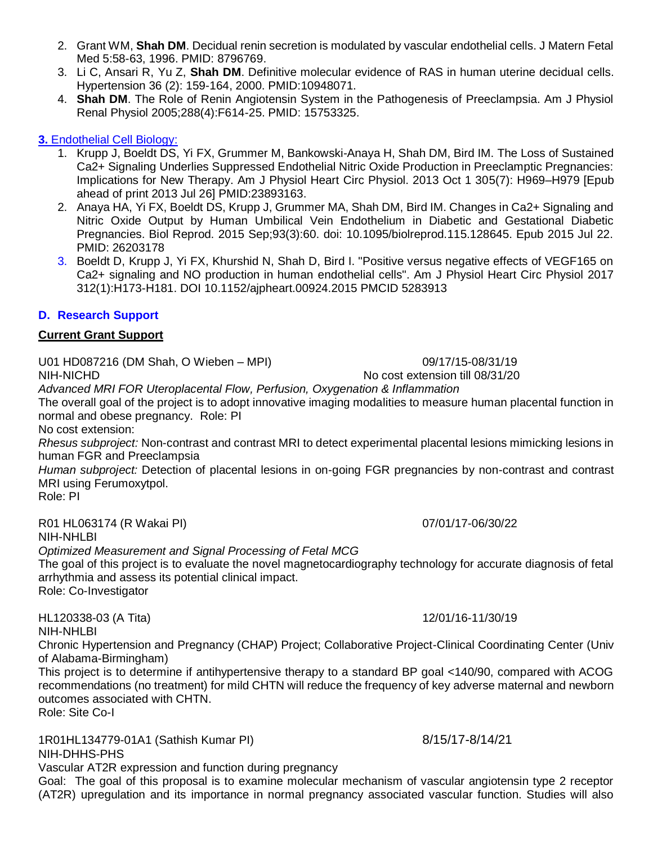- 2. Grant WM, **Shah DM**. Decidual renin secretion is modulated by vascular endothelial cells. J Matern Fetal Med 5:58-63, 1996. PMID: 8796769.
- 3. Li C, Ansari R, Yu Z, **Shah DM**. Definitive molecular evidence of RAS in human uterine decidual cells. Hypertension 36 (2): 159-164, 2000. PMID:10948071.
- 4. **Shah DM**. The Role of Renin Angiotensin System in the Pathogenesis of Preeclampsia. Am J Physiol Renal Physiol 2005;288(4):F614-25. PMID: 15753325.

# **3.** Endothelial Cell Biology:

- 1. Krupp J, Boeldt DS, Yi FX, Grummer M, Bankowski-Anaya H, Shah DM, Bird IM. The Loss of Sustained Ca2+ Signaling Underlies Suppressed Endothelial Nitric Oxide Production in Preeclamptic Pregnancies: Implications for New Therapy. Am J Physiol Heart Circ Physiol. 2013 Oct 1 305(7): H969–H979 [Epub ahead of print 2013 Jul 26] PMID:23893163.
- 2. Anaya HA, Yi FX, Boeldt DS, Krupp J, Grummer MA, Shah DM, Bird IM. Changes in Ca2+ Signaling and Nitric Oxide Output by Human Umbilical Vein Endothelium in Diabetic and Gestational Diabetic Pregnancies. Biol Reprod. 2015 Sep;93(3):60. doi: 10.1095/biolreprod.115.128645. Epub 2015 Jul 22. PMID: 26203178
- 3. Boeldt D, Krupp J, Yi FX, Khurshid N, Shah D, Bird I. "Positive versus negative effects of VEGF165 on Ca2+ signaling and NO production in human endothelial cells". Am J Physiol Heart Circ Physiol 2017 312(1):H173-H181. DOI 10.1152/ajpheart.00924.2015 PMCID 5283913

# **D. Research Support**

## **Current Grant Support**

U01 HD087216 (DM Shah, O Wieben – MPI) 09/17/15-08/31/19

# *Advanced MRI FOR Uteroplacental Flow, Perfusion, Oxygenation & Inflammation*

The overall goal of the project is to adopt innovative imaging modalities to measure human placental function in normal and obese pregnancy. Role: PI

No cost extension:

*Rhesus subproject:* Non-contrast and contrast MRI to detect experimental placental lesions mimicking lesions in human FGR and Preeclampsia

*Human subproject:* Detection of placental lesions in on-going FGR pregnancies by non-contrast and contrast MRI using Ferumoxytpol.

Role: PI

R01 HL063174 (R Wakai PI) 07/01/17-06/30/22 NIH-NHLBI

*Optimized Measurement and Signal Processing of Fetal MCG*

The goal of this project is to evaluate the novel magnetocardiography technology for accurate diagnosis of fetal arrhythmia and assess its potential clinical impact.

Role: Co-Investigator

HL120338-03 (A Tita) 12/01/16-11/30/19 NIH-NHLBI

Chronic Hypertension and Pregnancy (CHAP) Project; Collaborative Project-Clinical Coordinating Center (Univ of Alabama-Birmingham)

This project is to determine if antihypertensive therapy to a standard BP goal <140/90, compared with ACOG recommendations (no treatment) for mild CHTN will reduce the frequency of key adverse maternal and newborn outcomes associated with CHTN. Role: Site Co-I

1R01HL134779-01A1 (Sathish Kumar PI) 8/15/17-8/14/21 NIH-DHHS-PHS Vascular AT2R expression and function during pregnancy

Goal: The goal of this proposal is to examine molecular mechanism of vascular angiotensin type 2 receptor (AT2R) upregulation and its importance in normal pregnancy associated vascular function. Studies will also

NIH-NICHD NO cost extension till 08/31/20